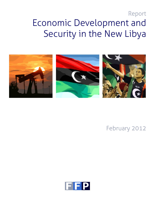# Report Economic Development and Security in the New Libya



### February 2012

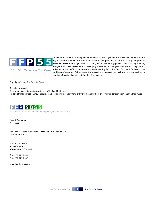

The Fund for Peace is an independent, nonpartisan, 501(c)(3) non-profit research and educational organization that works to prevent violent conflict and promote sustainable security. We promote sustainable security through research, training and education, engagement of civil society, building bridges across diverse sectors, and developing innovative technologies and tools for policy makers. A leader in the conflict assessment and early warning field, the Fund for Peace focuses on the problems of weak and failing states. Our objective is to create practical tools and approaches for conflict mitigation that are useful to decision-makers.

Copyright © 2012 The Fund for Peace.

All rights reserved. This program description is proprietary to The Fund for Peace. No part of this publication may be reproduced or transmitted in any form or by any means without prior written consent from The Fund for Peace.



The Fund for Peace Sustainable Development, Sustainable Security

Report Written by **J. J. Messner** 

The Fund for Peace Publication **FFP : SGCAR1206** (Version 02E) Circulation: PUBLIC

The Fund for Peace 1720 I Street NW, 7 Washington, D.C. 20006

T: +1 202 223 7940 F: +1 202 223 7947

**www.fundforpeace.org**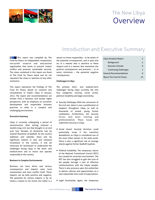

### The New Libya Overview

**This report was compiled by The** Fund for Peace, an independent, nonpartisan, non-profit research and educational organization that works to prevent violent conflict and promote sustainable security. The views contained in this report are those of The Fund for Peace alone and do not represent the views or opinions of any other institution.

This report represents the findings of The Fund for Peace, based on research and consultations in Tripoli, Libya in January, 2012. The report and recommendations are written from a business and human rights perspective, with an emphasis on economic development and responsible business practices in what is a complex and challenging environment.

#### **Executive Summary**

Libya is currently undergoing a period of reconstruction after having endured a months-long civil war that brought to an end over four decades of dictatorial rule by Colonel Muammar al-Qadhafi. As the country stabilizes and rebuilds, there will be significant interest in new and renewed investment in the country. It will be necessary for businesses to understand the challenges facing Libya in the short- and medium-term and to invest and operate responsibly in the country.

#### **Business in Complex Environments**

Business can have direct and serious consequences and impacts upon local communities and even conflict itself. These impacts can be both positive and negative. The potential for serious impacts is by no means a reason to not invest, but rather is a

### Introduction and Executive Summary

reason to invest responsibly – to be aware of the potential consequences, and to plan and act in a manner that is sensitive to these impacts and in a manner that maximizes the positive consequences and prevents – or at worst, minimizes – the potential negative consequences.

#### **Challenges in Libya**

The primary short- and medium-term challenges facing Libya currently fall into four categories: security, social unrest, political instability and legal uncertainty.

- *Security Challenges:* With the conclusion of the civil war, there is now a proliferation of weapons throughout Libya, as well as thousands of armed, young former combatants. Furthermore, the security forces lack basic training and professionalism. These issues will undermine security in Libya.
- *Social Unrest:* Societal divisions could potentially erupt if the transition destabilizes, as Libya is considered one of the most tribal nations in the Arab world. There is also a significant risk of revenge attacks against former Qadhafi loyalists.
- *Political Instability:* The temporary nature of the National Transitional Council (NTC) has created an uncertain environment. The NTC has also struggled to gain the trust of the people through a lack of effective communications with the Libyan people. There is also pressure upon the authorities to deliver reforms and opportunities on a near impossible time scale of expectations.

• *Legal Uncertainty:* Again, the temporary

| Libya Situation Report         |    |
|--------------------------------|----|
| Background                     | 5  |
| <b>Business Climate</b>        | ĥ  |
| <b>Continuing Challenges</b>   | 7  |
| <b>General Recommendations</b> | g  |
| About The Fund for Peace       | 10 |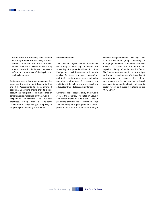nature of the NTC is leading to uncertainty in the legal arena. Further, many business contracts from the Qadhafi era are under review. The focus on elections and drafting a new constitution is delaying necessary reforms to other areas of the legal code, such as labor laws.

Businesses need to know and understand the actors and the environment through Conflict and Risk Assessments to make informed decisions. Operations should then take into account the best practices and guidelines of corporate social responsibility frameworks. Responsible investment and business practices, along with a long-term commitment to Libya, will go a long way to supporting the rebuilding of the nation.

#### **Recommendations**

The rapid and urgent creation of economic opportunity is necessary to prevent the worsening of a potential driver of conflict. Foreign and local investment will be the catalyst for these economic opportunities and it will require a more secure and stable operating environment. This security and stability will be reliant on professional and adequately trained state security forces.

Corporate social responsibility frameworks, such as the Voluntary Principles on Security and Human Rights, will be a critical tool in promoting security sector reform in Libya. The Voluntary Principles provides a robust platform upon which to facilitate dialogue

between host governments – like Libya – and a multistakeholder group consisting of foreign governments, companies and civil society, on issues like the reform and capacity building of public security forces. The international community is in a unique position to take advantage of this window of opportunity to engage the Libyan government, and in turn provide technical assistance to pursue the objective of security sector reform and capacity building in the "New Libya."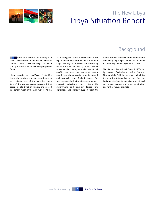

# The New Libya Libya Situation Report

**After four decades of military rule** under the leadership of Colonel Muammar al-Qadhafi, "New" Libya has begun to move quickly towards a more free and prosperous future.

Libya experienced significant instability during the previous year and is considered to be a pivotal part of the so-called "Arab Spring," the pro-democracy movement that began in late 2010 in Tunisia and spread throughout much of the Arab world. As the

Arab Spring took hold in other parts of the region in February 2011, violence erupted in Libya, leading to a brutal crack-down by security forces. As the cycle of violence worsened, the country entered a level of civil conflict that over the course of several months saw the opposition grow in strength and eventually repel Qadhafi's forces. This was accomplished with widespread popular support, defections from within the government and security forces, and diplomatic and military support from the

### Background

United Nations and much of the international community. By August, Tripoli fell to rebel forces and by October, Qadhafi was dead.

The National Transitional Council (NTC), led by former Qadhafi-era Justice Minister, Mustafa Abdul Jalil, has set about rebuilding the state institutions that can then form the basis for elections to establish a transitional government that can draft a new constitution and further rebuild the state.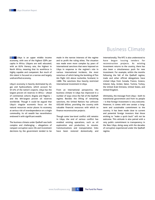**Libya** is an upper middle income economy, with one of the highest GDPs per capita in Africa. Libyans are well educated, with an 82% literacy rate, the highest in North Africa, meaning that its workforce is highly capable and competent. But much of this talent is focused on a narrow and largely undiversified economy.

Libya's economy is heavily dominated by oil, gas and hydrocarbons, which account for 97.5% of the nation's exports. Libya has the largest proven oil reserves in Africa – ahead of continental cohorts Angola and Nigeria – and the 9th-largest proven oil reserves worldwide. Though it could be argued that Libya's singular economic focus on the natural resources sector places its economy at serious risk of overdependence on a single commodity, its oil wealth has nevertheless endowed it with significant wealth.

The business climate under Qadhafi was both complex and challenging – allegations of rampant corruption were rife and investment decisions by the government tended to be

made in the narrow interests of the regime and to profit the ruling elites. The situation was made even more complex by years of international sanctions that were imposed on Libya in response to the regime's role in various international incidents, the most notorious of which being the bombing of Pan Am flight 103 above Lockerbie, Scotland, in 1988. The sanctions thus heavily restricted international investment in Libya.

From an international perspective, the business climate in Libya has improved in a number of ways since the fall of the Qadhafi regime. Besides the lifting of remaining sanctions, the United Nations has unfrozen US\$168 billion, providing the country with valuable financial resources with which to finance reconstruction projects.

Though some low-level conflict still remains in Libya, the end of serious conflict has enabled existing operations, such as oil exploration and production, to resume. Communications and transportation links have been restored domestically and

### Business Climate

internationally. The NTC is also understood to have begun issuing tenders for reconstruction projects. As existing investment returns to the country, there has also been a simultaneous push for new investment. For example, within the months following the fall of the Qadhafi regime, trade and other official delegations have visited Libya from Canada, France, Greece, Ireland, Italy, Jordan, Qatar, Tunisia, Turkey, the United Arab Emirates, United States, and United Kingdom.

Ultimately, the message from Libya – both its transitional government and from its people – is that foreign investment is very welcome. However, it comes with one caveat: a longterm and sustainable commitment to the country. It has been made clear to current and potential foreign investors that those wishing to "make a quick buck" will not be welcome. This attitude is also paired with a very public commitment to transparency in the New Libya, doing away with the decades of corruption experienced under the Qadhafi regime.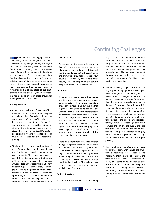**Complex and challenging environ**ments bring unique challenges for business operations. Though Libya has begun a trajectory that will hopefully lead to sustained freedom and prosperity, the country nevertheless faces serious challenges in the shortand medium-term. These challenges fall into four broad categories: security, social unrest, political uncertainty, and legal uncertainty. Many of these challenges can be ascribed to nearly any country that has experienced a revolution and is at this stage of the postconflict cycle. Nevertheless, it will be important for all to be aware of these challenges moving forward in "New Libya."

#### **Security Situation**

- As with the conclusion of many conflicts, there is now a proliferation of weapons throughout Libya. Particularly during the early stages of the conflict, the rebel forces were in desperate need for materiel support, which was provided either by allies in the international community or attained by overrunning Qadaffi's military and raiding their arms stockpiles. There is thus a severe need for arms decommissioning.
- Similarly, there is now a proliferation of tens of thousands of armed young Libyans who find themselves with a victory, but as yet, few spoils. The rebels have experienced the collective euphoria that comes with revolution. However, that euphoria will soon fade as yesterday's revolutionary freedom fighters become today's unemployed. The reintegration of former combatants and the provision of economic opportunity will be desperately needed in order to forestall the negative consequences that could otherwise result from

this situation.

• As the ranks of the security forces of the Qadhafi regime are purged and new security forces take over, there is a distinct risk that the new forces will lack basic training and professionalism. Businesses especially could be affected by this, where those security forces either provide site security or operate near business operations.

#### **Social Unrest**

- It has been argued by some that friction and tensions within and between Libya's complex patchwork of tribes and clans, previously contained under the Qadhafi regime, has the potential to boil-over and undermine the transition to representative government. With more than 140 tribes and clans, Libya is considered one of the most tribally diverse nations in the Arab world. It is unclear, however, as to how significant a role tribalism will play in the New Libya, as Qadhafi went to great lengths to strip tribes of their political power and dilute their importance.
- There is a significant risk that revenge killings of Qadhafi loyalists will continue and could lead to a risk of insurgency if left unaddressed. A recent report by the UN High Commissioner for Human Rights, Navi Pillay, alleged widespread torture and human rights abuses inflicted upon captured Qadhafi loyalists. These claims have been echoed by organizations such as Medicins sans Frontieres.

#### **Political Uncertainty**

• There are many unknowns in anticipating

### Continuing Challenges

Libya's short- and medium-term political future. Elections are scheduled for later in the year, and at this point, it is intended that the members of the NTC will not return in the representative government that succeeds them. The temporary nature of the current administration has created an uncertain environment for Libyans and foreign investors alike.

- The NTC is failing to gain the trust of the Libyan people, highlighted by recent protests in Benghazi, an NTC stronghold. A recent survey by Megan Doherty at the National Democratic Institute (NDI) found that Libyans largely appreciate the role the National Transitional Council played in managing the country during the revolutionary crisis. However, the shortcomings in the council's level of transparency and its ability to communicate information on its activities or the transition to representative government is creating a disconnect between the NTC and the public. It is clear that greater attention to open communication and transparent decision-making by the NTC are critical prerequisites for Libyans to believe that the transition is progressing.
- The central government lacks control over the entire country. Even though the situation is stabilizing, local collectives and militias maintain a degree of control at the town and street level, as witnessed recently by clashes in towns such as Bani Walid. There may also be a risk of regional authorities becoming more assertive, threatening national cohesion and undermining unified, nation-wide reconstruction.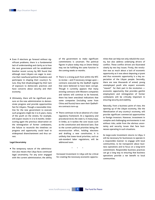- Even if elections go forward without significant problems, there is a fundamental lack of understanding and clarity as to how the next government will be established. Another recent survey by NDI found that although most Libyans are eager to exercise their newfound political freedoms and participate in shaping their country's future, they feel disadvantaged by their lack of exposure to democratic practices and have concerns about security and their economy.
- Ultimately, there will be significant pressure on the new administration to demonstrate progress and provide opportunities fast for Libyans. Though a reasonable timeline for the new government to execute such programs might be 3 to 6 years, many of the youth on the streets, for example, will expect results in 3 to 6 months. Underscoring again the previous observation on the reintegration of former combatants, the failure to reconcile the timelines on progress and opportunity could lead to widespread disenchantment and thus unrest.

#### **Legal Uncertainty**

• The temporary nature of the administration also means that Libya faces continued legal uncertainty. For any actor engaged with the current administration, the ability of the government to make significant commitments is uncertain. The political figures in place today may or (more likely) may not be fulfilling the same function in the coming weeks or months.

- There is a strong push from within the NTC to review – and if necessary renege upon – contracts executed by the Qadhafi regime that were believed to have been corrupt. Though it currently appears that many existing contracts with Western companies and nations will continue to be honored, there has been anecdotal indications that some companies (including some from China and Russia) have seen their Qadhafiera contracts torn-up.
- There continues to be an absence of a clear regulatory framework. At a regulatory and procedural level, the state is, in many ways, in limbo, as it tackles the core issues such as the constitution and electoral laws. Due to the current political priorities being the reconstruction effort, holding elections and drafting a new constitution, it is unlikely that lower-level priorities, such as sub-standard labor regulations, will be addressed soon.

\* \* \*

Increased investment in Libya will be critical for creating the necessary economic opportunities that can help not only rebuild the country, but also address underlying drivers of conflict. These conflict drivers are illustrated clearly by two key issues. Firstly, the revolution was as much about a lack of economic opportunity as it was about deposing a tyrant and thus economic opportunity is a key expectation of the Libyan people. Secondly, there are now thousands of armed, young unemployed youth who expect economic "reward" for their part in the revolution economic opportunity that provides gainful employment and reintegration of former combatants will be critically important in ensuring security and stability.

Naturally, from a business point of view, the opening up of the Libyan economy, like the liberalization of any country's economy, will provide significant commercial opportunities to foreign investors. However, investment in complex and challenging environments is not without risks, aside from the obvious uncertainty and security issues that face businesses operating in such situations.

As large-scale investment returns to Libya, it will be necessary for businesses to operate in a responsible manner: to engage with local communities, to be transparent about business operations and to focus on a long-term commitment. Responsible business practices can go a long way to ensuring that business operations provide a net benefit to local communities.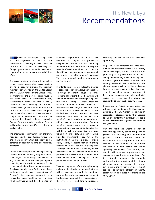

## The New Libya Recommendations

**Given the challenges facing Libya** and the eagerness of much of the international community to assist with the reconstruction, it will be necessary for foreign governments to understand what opportunities exist to assist the rebuilding effort.

The reconstruction in Libya will be unlike many recent post-conflict reconstruction efforts. In Iraq, for example, the post-war reconstruction was led by the United States and was largely funded by the United States. In Afghanistan, the post-war reconstruction has again been an internationally led, internationally funded exercise. However, Libya will almost certainly be different. Libyans have signaled their intention for the reconstruction to be Libyan led – and given the comparative wealth of Libya, somewhat unique for a post-conflict country – the reconstruction should be largely internally funded. Thus, the standard model of foreign aid based reconstruction efforts is unlikely to apply in Libya.

The international community will therefore need to seek other opportunities for support, and these opportunities are likely to be centered on capacity building and technical assistance.

One of the most significant challenges facing Libya is the vast cadre of young, well-armed, unemployed revolutionary combatants. In any complex environment, widespread youth unemployment is a serious challenge. This is compounded when those youths are armed. This is compounded even further when those well-armed youth have expectations of "reward" – i.e., economic opportunity as a reward for having fought in the revolution, which itself was as much based on a lack of

economic opportunity as it was the overthrow of a tyrant. This problem is compounded further still by conflicting timelines – as the youth expect to reap the rewards of revolution within 3 to 6 months, the ability of the government to provide such opportunity is probably closer to 3 to 6 years. This is a serious social and security problem moving forward.

In order to more rapidly facilitate the creation of economic opportunity, Libya will be reliant on foreign investment. Though some firms are more risk tolerant than others, there will only be a limited cohort of foreign companies that will be willing to invest unless the security situation improves. However, a further security challenge is the nature of the security forces themselves. Much of the Qadhafi era security apparatus has been disbanded, and what remains as "state security" now is largely a hodgepodge of militias, many of them now rivals. The state security apparatus could evolve through a formalization of various militia brigades that will likely lack professionalism and basic training. This is not only a problem for Libya, but for investment also. Given the restrictions on the use of private security in Libya, security for assets such as oil drilling sites will fall to state security. This will pose a challenge not only for the security of the investments, but the manner in which nonprofessionalized security forces interact with local communities, leading to serious potential for human rights abuses.

Thus, security sector reform, through training and professionalization of the security forces, will be necessary to provide the conditions not only for a safe and secure environment, but for an environment that is permissive for the level of local and foreign investment necessary for the creation of economic opportunity.

Corporate social responsibility frameworks, such as the Voluntary Principles on Security and Human Rights, will be a critical tool in promoting security sector reform in Libya. Though the Voluntary Principles is very much a human rights framework, it is equally a security framework, and provides a robust platform upon which to facilitate dialogue between host governments – like Libya – and a multistakeholder group consisting of foreign governments, companies and civil society, on issues like the reform and capacity building of public security forces.

Discussions in Tripoli demonstrated the willingness of the National Oil Company and potentially the Oil Ministry to engage in corporate social responsibility, which appears to be a priority for the "New Libya" as it seeks to free itself from the legacy of corruption of the Qadhafi era.

Only the rapid and urgent creation of economic opportunity carries the power to prevent the worsening of a multitude of potential conflict drivers. Increased investment will be a key catalyst for these economic opportunities and such investment will require a more secure and stable operating environment. This security and stability will be reliant on professional and adequately trained state security forces. The international community is uniquely positioned to take advantage of this window of opportunity to engage the Libyan government, and in turn provide technical assistance to pursue the objective of security sector reform and capacity building in the "New Libya."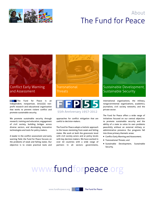

# About The Fund for Peace



Conflict Early Warning and Assessment

**The Fund for Peace is an** independent, nonpartisan, 501(c)(3) nonprofit research and educational organization that works to prevent violent conflict and promote sustainable security.

We promote sustainable security through research, training and education, engagement of civil society, building bridges across diverse sectors, and developing innovative technologies and tools for policy makers.

A leader in the conflict assessment and early warning field, the Fund for Peace focuses on the problems of weak and failing states. Our objective is to create practical tools and





55th Anniversary 1957-2012

approaches for conflict mitigation that are useful to decision-makers.

The Fund for Peace adopts a holistic approach to the issues stemming from weak and failing states. We work at both the grassroots level with civil society actors and at policy levels with key decision makers. We have worked in over 50 countries with a wide range of partners in all sectors: governments,



## Sustainable Security

international organizations, the military, nongovernmental organizations, academics, journalists, civil society networks, and the private sector.

The Fund for Peace offers a wide range of initiatives focused on our central objective: to promote sustainable security and the ability of a state to solve its own problems peacefully without an external military or administrative presence. Our programs fall into three primary thematic areas:

- Conflict Early Warning and Assessment;
- Transnational Threats; and
- Sustainable Development, Sustainable Security.

# www.fundforpeace.org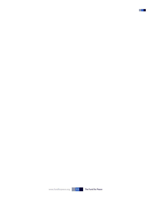